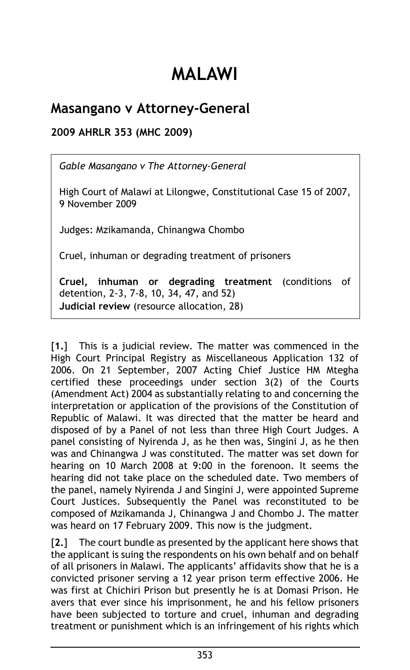## **MALAWI**

## **Masangano v Attorney-General**

**2009 AHRLR 353 (MHC 2009)**

*Gable Masangano v The Attorney-General*

High Court of Malawi at Lilongwe, Constitutional Case 15 of 2007, 9 November 2009

Judges: Mzikamanda, Chinangwa Chombo

Cruel, inhuman or degrading treatment of prisoners

**Cruel, inhuman or degrading treatment** (conditions of detention, 2-3, 7-8, 10, 34, 47, and 52) **Judicial review** (resource allocation, 28)

[**1.**] This is a judicial review. The matter was commenced in the High Court Principal Registry as Miscellaneous Application 132 of 2006. On 21 September, 2007 Acting Chief Justice HM Mtegha certified these proceedings under section 3(2) of the Courts (Amendment Act) 2004 as substantially relating to and concerning the interpretation or application of the provisions of the Constitution of Republic of Malawi. It was directed that the matter be heard and disposed of by a Panel of not less than three High Court Judges. A panel consisting of Nyirenda J, as he then was, Singini J, as he then was and Chinangwa J was constituted. The matter was set down for hearing on 10 March 2008 at 9:00 in the forenoon. It seems the hearing did not take place on the scheduled date. Two members of the panel, namely Nyirenda J and Singini J, were appointed Supreme Court Justices. Subsequently the Panel was reconstituted to be composed of Mzikamanda J, Chinangwa J and Chombo J. The matter was heard on 17 February 2009. This now is the judgment.

[**2.**] The court bundle as presented by the applicant here shows that the applicant is suing the respondents on his own behalf and on behalf of all prisoners in Malawi. The applicants' affidavits show that he is a convicted prisoner serving a 12 year prison term effective 2006. He was first at Chichiri Prison but presently he is at Domasi Prison. He avers that ever since his imprisonment, he and his fellow prisoners have been subjected to torture and cruel, inhuman and degrading treatment or punishment which is an infringement of his rights which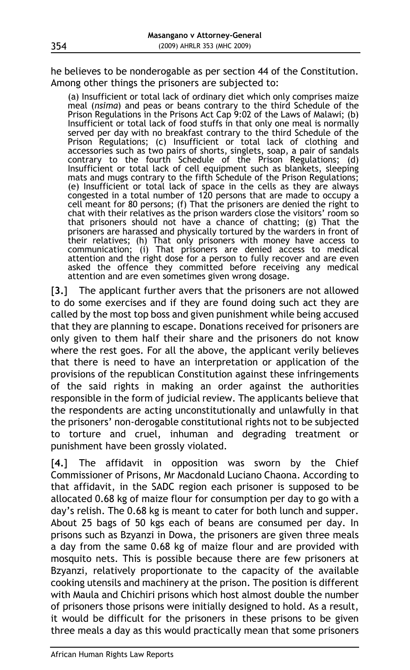he believes to be nonderogable as per section 44 of the Constitution. Among other things the prisoners are subjected to:

(a) Insufficient or total lack of ordinary diet which only comprises maize meal (*nsima*) and peas or beans contrary to the third Schedule of the Prison Regulations in the Prisons Act Cap 9:02 of the Laws of Malawi; (b) Insufficient or total lack of food stuffs in that only one meal is normally served per day with no breakfast contrary to the third Schedule of the Prison Regulations; (c) Insufficient or total lack of clothing and accessories such as two pairs of shorts, singlets, soap, a pair of sandals contrary to the fourth Schedule of the Prison Regulations; (d) Insufficient or total lack of cell equipment such as blankets, sleeping mats and mugs contrary to the fifth Schedule of the Prison Regulations; (e) Insufficient or total lack of space in the cells as they are always congested in a total number of 120 persons that are made to occupy a cell meant for 80 persons; (f) That the prisoners are denied the right to chat with their relatives as the prison warders close the visitors' room so that prisoners should not have a chance of chatting; (g) That the prisoners are harassed and physically tortured by the warders in front of their relatives; (h) That only prisoners with money have access to communication; (i) That prisoners are denied access to medical attention and the right dose for a person to fully recover and are even asked the offence they committed before receiving any medical attention and are even sometimes given wrong dosage.

[**3.**] The applicant further avers that the prisoners are not allowed to do some exercises and if they are found doing such act they are called by the most top boss and given punishment while being accused that they are planning to escape. Donations received for prisoners are only given to them half their share and the prisoners do not know where the rest goes. For all the above, the applicant verily believes that there is need to have an interpretation or application of the provisions of the republican Constitution against these infringements of the said rights in making an order against the authorities responsible in the form of judicial review. The applicants believe that the respondents are acting unconstitutionally and unlawfully in that the prisoners' non-derogable constitutional rights not to be subjected to torture and cruel, inhuman and degrading treatment or punishment have been grossly violated.

[**4.**] The affidavit in opposition was sworn by the Chief Commissioner of Prisons, Mr Macdonald Luciano Chaona. According to that affidavit, in the SADC region each prisoner is supposed to be allocated 0.68 kg of maize flour for consumption per day to go with a day's relish. The 0.68 kg is meant to cater for both lunch and supper. About 25 bags of 50 kgs each of beans are consumed per day. In prisons such as Bzyanzi in Dowa, the prisoners are given three meals a day from the same 0.68 kg of maize flour and are provided with mosquito nets. This is possible because there are few prisoners at Bzyanzi, relatively proportionate to the capacity of the available cooking utensils and machinery at the prison. The position is different with Maula and Chichiri prisons which host almost double the number of prisoners those prisons were initially designed to hold. As a result, it would be difficult for the prisoners in these prisons to be given three meals a day as this would practically mean that some prisoners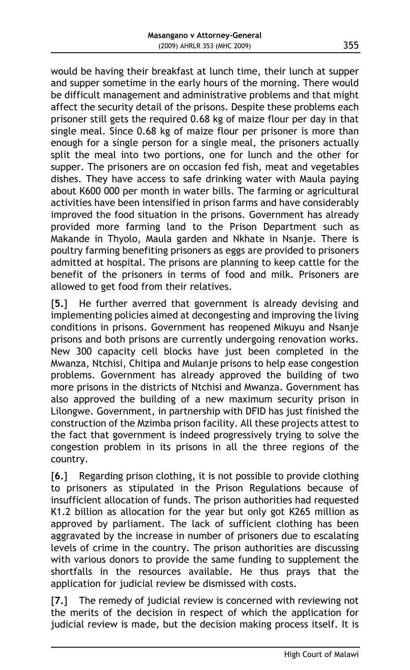would be having their breakfast at lunch time, their lunch at supper and supper sometime in the early hours of the morning. There would be difficult management and administrative problems and that might affect the security detail of the prisons. Despite these problems each prisoner still gets the required 0.68 kg of maize flour per day in that single meal. Since 0.68 kg of maize flour per prisoner is more than enough for a single person for a single meal, the prisoners actually split the meal into two portions, one for lunch and the other for supper. The prisoners are on occasion fed fish, meat and vegetables dishes. They have access to safe drinking water with Maula paying about K600 000 per month in water bills. The farming or agricultural activities have been intensified in prison farms and have considerably improved the food situation in the prisons. Government has already provided more farming land to the Prison Department such as Makande in Thyolo, Maula garden and Nkhate in Nsanje. There is poultry farming benefiting prisoners as eggs are provided to prisoners admitted at hospital. The prisons are planning to keep cattle for the benefit of the prisoners in terms of food and milk. Prisoners are allowed to get food from their relatives.

[**5.**] He further averred that government is already devising and implementing policies aimed at decongesting and improving the living conditions in prisons. Government has reopened Mikuyu and Nsanje prisons and both prisons are currently undergoing renovation works. New 300 capacity cell blocks have just been completed in the Mwanza, Ntchisi, Chitipa and Mulanje prisons to help ease congestion problems. Government has already approved the building of two more prisons in the districts of Ntchisi and Mwanza. Government has also approved the building of a new maximum security prison in Lilongwe. Government, in partnership with DFID has just finished the construction of the Mzimba prison facility. All these projects attest to the fact that government is indeed progressively trying to solve the congestion problem in its prisons in all the three regions of the country.

[**6.**] Regarding prison clothing, it is not possible to provide clothing to prisoners as stipulated in the Prison Regulations because of insufficient allocation of funds. The prison authorities had requested K1.2 billion as allocation for the year but only got K265 million as approved by parliament. The lack of sufficient clothing has been aggravated by the increase in number of prisoners due to escalating levels of crime in the country. The prison authorities are discussing with various donors to provide the same funding to supplement the shortfalls in the resources available. He thus prays that the application for judicial review be dismissed with costs.

[**7.**] The remedy of judicial review is concerned with reviewing not the merits of the decision in respect of which the application for judicial review is made, but the decision making process itself. It is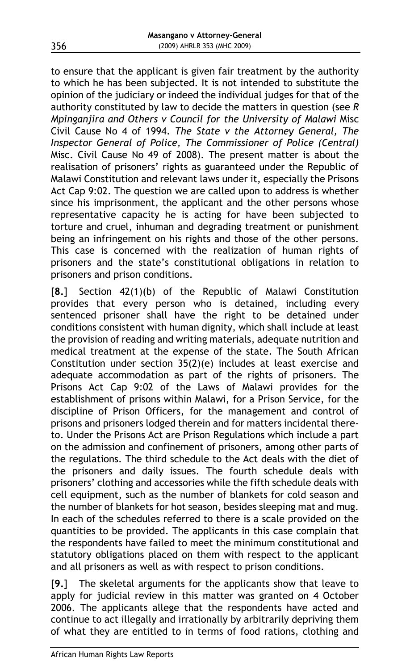to ensure that the applicant is given fair treatment by the authority to which he has been subjected. It is not intended to substitute the opinion of the judiciary or indeed the individual judges for that of the authority constituted by law to decide the matters in question (see *R Mpinganjira and Others v Council for the University of Malawi* Misc Civil Cause No 4 of 1994. *The State v the Attorney General, The Inspector General of Police, The Commissioner of Police (Central)* Misc. Civil Cause No 49 of 2008). The present matter is about the realisation of prisoners' rights as guaranteed under the Republic of Malawi Constitution and relevant laws under it, especially the Prisons Act Cap 9:02. The question we are called upon to address is whether since his imprisonment, the applicant and the other persons whose representative capacity he is acting for have been subjected to torture and cruel, inhuman and degrading treatment or punishment being an infringement on his rights and those of the other persons. This case is concerned with the realization of human rights of prisoners and the state's constitutional obligations in relation to prisoners and prison conditions.

[**8.**] Section 42(1)(b) of the Republic of Malawi Constitution provides that every person who is detained, including every sentenced prisoner shall have the right to be detained under conditions consistent with human dignity, which shall include at least the provision of reading and writing materials, adequate nutrition and medical treatment at the expense of the state. The South African Constitution under section 35(2)(e) includes at least exercise and adequate accommodation as part of the rights of prisoners. The Prisons Act Cap 9:02 of the Laws of Malawi provides for the establishment of prisons within Malawi, for a Prison Service, for the discipline of Prison Officers, for the management and control of prisons and prisoners lodged therein and for matters incidental thereto. Under the Prisons Act are Prison Regulations which include a part on the admission and confinement of prisoners, among other parts of the regulations. The third schedule to the Act deals with the diet of the prisoners and daily issues. The fourth schedule deals with prisoners' clothing and accessories while the fifth schedule deals with cell equipment, such as the number of blankets for cold season and the number of blankets for hot season, besides sleeping mat and mug. In each of the schedules referred to there is a scale provided on the quantities to be provided. The applicants in this case complain that the respondents have failed to meet the minimum constitutional and statutory obligations placed on them with respect to the applicant and all prisoners as well as with respect to prison conditions.

[**9.**] The skeletal arguments for the applicants show that leave to apply for judicial review in this matter was granted on 4 October 2006. The applicants allege that the respondents have acted and continue to act illegally and irrationally by arbitrarily depriving them of what they are entitled to in terms of food rations, clothing and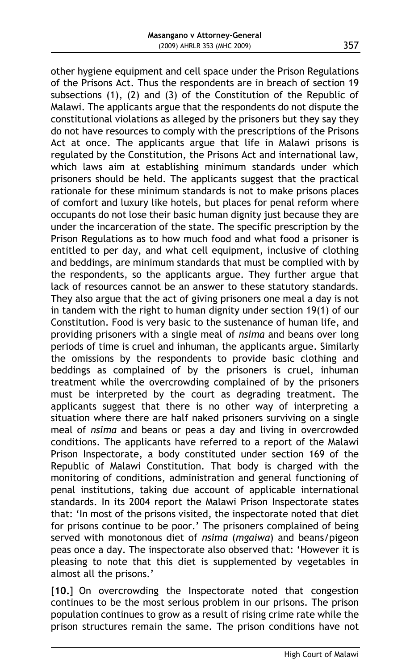other hygiene equipment and cell space under the Prison Regulations of the Prisons Act. Thus the respondents are in breach of section 19 subsections (1), (2) and (3) of the Constitution of the Republic of Malawi. The applicants argue that the respondents do not dispute the constitutional violations as alleged by the prisoners but they say they do not have resources to comply with the prescriptions of the Prisons Act at once. The applicants argue that life in Malawi prisons is regulated by the Constitution, the Prisons Act and international law, which laws aim at establishing minimum standards under which prisoners should be held. The applicants suggest that the practical rationale for these minimum standards is not to make prisons places of comfort and luxury like hotels, but places for penal reform where occupants do not lose their basic human dignity just because they are under the incarceration of the state. The specific prescription by the Prison Regulations as to how much food and what food a prisoner is entitled to per day, and what cell equipment, inclusive of clothing and beddings, are minimum standards that must be complied with by the respondents, so the applicants argue. They further argue that lack of resources cannot be an answer to these statutory standards. They also argue that the act of giving prisoners one meal a day is not in tandem with the right to human dignity under section 19(1) of our Constitution. Food is very basic to the sustenance of human life, and providing prisoners with a single meal of *nsima* and beans over long periods of time is cruel and inhuman, the applicants argue. Similarly the omissions by the respondents to provide basic clothing and beddings as complained of by the prisoners is cruel, inhuman treatment while the overcrowding complained of by the prisoners must be interpreted by the court as degrading treatment. The applicants suggest that there is no other way of interpreting a situation where there are half naked prisoners surviving on a single meal of *nsima* and beans or peas a day and living in overcrowded conditions. The applicants have referred to a report of the Malawi Prison Inspectorate, a body constituted under section 169 of the Republic of Malawi Constitution. That body is charged with the monitoring of conditions, administration and general functioning of penal institutions, taking due account of applicable international standards. In its 2004 report the Malawi Prison Inspectorate states that: 'In most of the prisons visited, the inspectorate noted that diet for prisons continue to be poor.' The prisoners complained of being served with monotonous diet of *nsima* (*mgaiwa*) and beans/pigeon peas once a day. The inspectorate also observed that: 'However it is pleasing to note that this diet is supplemented by vegetables in almost all the prisons.'

[**10.**] On overcrowding the Inspectorate noted that congestion continues to be the most serious problem in our prisons. The prison population continues to grow as a result of rising crime rate while the prison structures remain the same. The prison conditions have not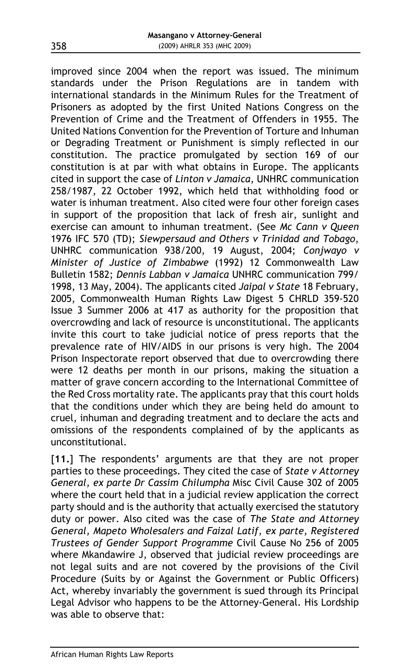improved since 2004 when the report was issued. The minimum standards under the Prison Regulations are in tandem with international standards in the Minimum Rules for the Treatment of Prisoners as adopted by the first United Nations Congress on the Prevention of Crime and the Treatment of Offenders in 1955. The United Nations Convention for the Prevention of Torture and Inhuman or Degrading Treatment or Punishment is simply reflected in our constitution. The practice promulgated by section 169 of our constitution is at par with what obtains in Europe. The applicants cited in support the case of *Linton v Jamaica*, UNHRC communication 258/1987, 22 October 1992, which held that withholding food or water is inhuman treatment. Also cited were four other foreign cases in support of the proposition that lack of fresh air, sunlight and exercise can amount to inhuman treatment. (See *Mc Cann v Queen* 1976 IFC 570 (TD); *Siewpersaud and Others v Trinidad and Tobago*, UNHRC communication 938/200, 19 August, 2004; *Conjwayo v Minister of Justice of Zimbabwe* (1992) 12 Commonwealth Law Bulletin 1582; *Dennis Labban v Jamaica* UNHRC communication 799/ 1998, 13 May, 2004). The applicants cited *Jaipal v State* 18 February, 2005, Commonwealth Human Rights Law Digest 5 CHRLD 359-520 Issue 3 Summer 2006 at 417 as authority for the proposition that overcrowding and lack of resource is unconstitutional. The applicants invite this court to take judicial notice of press reports that the prevalence rate of HIV/AIDS in our prisons is very high. The 2004 Prison Inspectorate report observed that due to overcrowding there were 12 deaths per month in our prisons, making the situation a matter of grave concern according to the International Committee of the Red Cross mortality rate. The applicants pray that this court holds that the conditions under which they are being held do amount to cruel, inhuman and degrading treatment and to declare the acts and omissions of the respondents complained of by the applicants as unconstitutional.

[11.] The respondents' arguments are that they are not proper parties to these proceedings. They cited the case of *State v Attorney General, ex parte Dr Cassim Chilumpha* Misc Civil Cause 302 of 2005 where the court held that in a judicial review application the correct party should and is the authority that actually exercised the statutory duty or power. Also cited was the case of *The State and Attorney General, Mapeto Wholesalers and Faizal Latif, ex parte, Registered Trustees of Gender Support Programme* Civil Cause No 256 of 2005 where Mkandawire J, observed that judicial review proceedings are not legal suits and are not covered by the provisions of the Civil Procedure (Suits by or Against the Government or Public Officers) Act, whereby invariably the government is sued through its Principal Legal Advisor who happens to be the Attorney-General. His Lordship was able to observe that: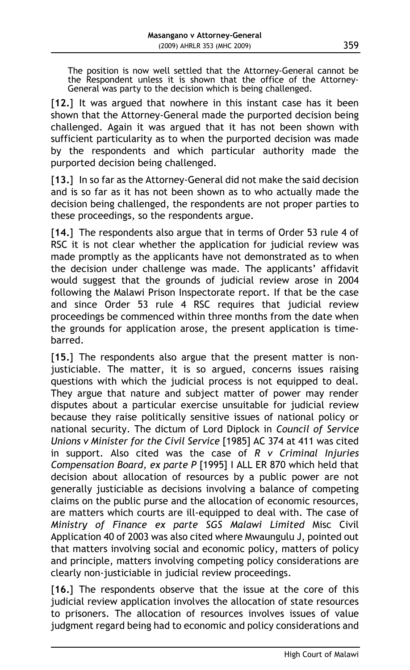The position is now well settled that the Attorney-General cannot be the Respondent unless it is shown that the office of the Attorney-General was party to the decision which is being challenged.

[**12.**] It was argued that nowhere in this instant case has it been shown that the Attorney-General made the purported decision being challenged. Again it was argued that it has not been shown with sufficient particularity as to when the purported decision was made by the respondents and which particular authority made the purported decision being challenged.

[13.] In so far as the Attorney-General did not make the said decision and is so far as it has not been shown as to who actually made the decision being challenged, the respondents are not proper parties to these proceedings, so the respondents argue.

[14.] The respondents also argue that in terms of Order 53 rule 4 of RSC it is not clear whether the application for judicial review was made promptly as the applicants have not demonstrated as to when the decision under challenge was made. The applicants' affidavit would suggest that the grounds of judicial review arose in 2004 following the Malawi Prison Inspectorate report. If that be the case and since Order 53 rule 4 RSC requires that judicial review proceedings be commenced within three months from the date when the grounds for application arose, the present application is timebarred.

[15.] The respondents also argue that the present matter is nonjusticiable. The matter, it is so argued, concerns issues raising questions with which the judicial process is not equipped to deal. They argue that nature and subject matter of power may render disputes about a particular exercise unsuitable for judicial review because they raise politically sensitive issues of national policy or national security. The dictum of Lord Diplock in *Council of Service Unions v Minister for the Civil Service* [1985] AC 374 at 411 was cited in support. Also cited was the case of *R v Criminal Injuries Compensation Board, ex parte P* [1995] I ALL ER 870 which held that decision about allocation of resources by a public power are not generally justiciable as decisions involving a balance of competing claims on the public purse and the allocation of economic resources, are matters which courts are ill-equipped to deal with. The case of *Ministry of Finance ex parte SGS Malawi Limited* Misc Civil Application 40 of 2003 was also cited where Mwaungulu J, pointed out that matters involving social and economic policy, matters of policy and principle, matters involving competing policy considerations are clearly non-justiciable in judicial review proceedings.

[**16.**] The respondents observe that the issue at the core of this judicial review application involves the allocation of state resources to prisoners. The allocation of resources involves issues of value judgment regard being had to economic and policy considerations and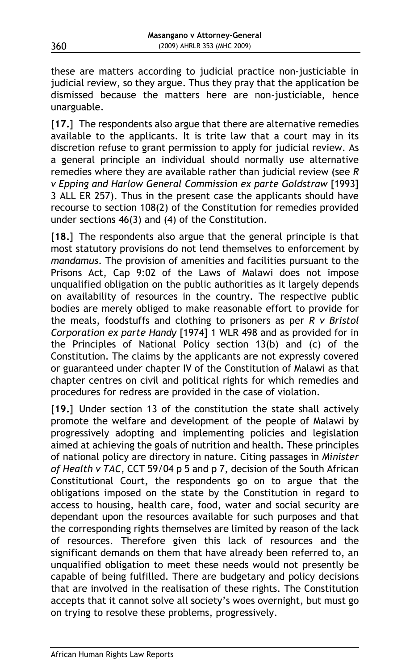these are matters according to judicial practice non-justiciable in judicial review, so they argue. Thus they pray that the application be dismissed because the matters here are non-justiciable, hence unarguable.

[**17.**] The respondents also argue that there are alternative remedies available to the applicants. It is trite law that a court may in its discretion refuse to grant permission to apply for judicial review. As a general principle an individual should normally use alternative remedies where they are available rather than judicial review (see *R v Epping and Harlow General Commission ex parte Goldstraw* [1993] 3 ALL ER 257). Thus in the present case the applicants should have recourse to section 108(2) of the Constitution for remedies provided under sections 46(3) and (4) of the Constitution.

[18.] The respondents also argue that the general principle is that most statutory provisions do not lend themselves to enforcement by *mandamus*. The provision of amenities and facilities pursuant to the Prisons Act, Cap 9:02 of the Laws of Malawi does not impose unqualified obligation on the public authorities as it largely depends on availability of resources in the country. The respective public bodies are merely obliged to make reasonable effort to provide for the meals, foodstuffs and clothing to prisoners as per *R v Bristol Corporation ex parte Handy* [1974] 1 WLR 498 and as provided for in the Principles of National Policy section 13(b) and (c) of the Constitution. The claims by the applicants are not expressly covered or guaranteed under chapter IV of the Constitution of Malawi as that chapter centres on civil and political rights for which remedies and procedures for redress are provided in the case of violation.

[19.] Under section 13 of the constitution the state shall actively promote the welfare and development of the people of Malawi by progressively adopting and implementing policies and legislation aimed at achieving the goals of nutrition and health. These principles of national policy are directory in nature. Citing passages in *Minister of Health v TAC*, CCT 59/04 p 5 and p 7, decision of the South African Constitutional Court, the respondents go on to argue that the obligations imposed on the state by the Constitution in regard to access to housing, health care, food, water and social security are dependant upon the resources available for such purposes and that the corresponding rights themselves are limited by reason of the lack of resources. Therefore given this lack of resources and the significant demands on them that have already been referred to, an unqualified obligation to meet these needs would not presently be capable of being fulfilled. There are budgetary and policy decisions that are involved in the realisation of these rights. The Constitution accepts that it cannot solve all society's woes overnight, but must go on trying to resolve these problems, progressively.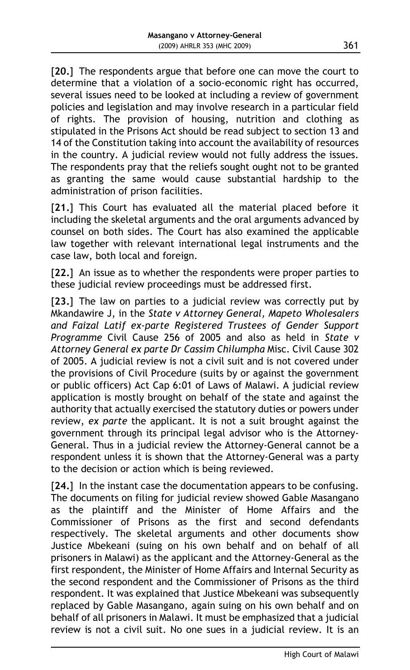[**20.**] The respondents argue that before one can move the court to determine that a violation of a socio-economic right has occurred, several issues need to be looked at including a review of government policies and legislation and may involve research in a particular field of rights. The provision of housing, nutrition and clothing as stipulated in the Prisons Act should be read subject to section 13 and 14 of the Constitution taking into account the availability of resources in the country. A judicial review would not fully address the issues. The respondents pray that the reliefs sought ought not to be granted as granting the same would cause substantial hardship to the administration of prison facilities.

[**21.**] This Court has evaluated all the material placed before it including the skeletal arguments and the oral arguments advanced by counsel on both sides. The Court has also examined the applicable law together with relevant international legal instruments and the case law, both local and foreign.

[22.] An issue as to whether the respondents were proper parties to these judicial review proceedings must be addressed first.

[23.] The law on parties to a judicial review was correctly put by Mkandawire J, in the *State v Attorney General, Mapeto Wholesalers and Faizal Latif ex-parte Registered Trustees of Gender Support Programme* Civil Cause 256 of 2005 and also as held in *State v Attorney General ex parte Dr Cassim Chilumpha* Misc. Civil Cause 302 of 2005. A judicial review is not a civil suit and is not covered under the provisions of Civil Procedure (suits by or against the government or public officers) Act Cap 6:01 of Laws of Malawi. A judicial review application is mostly brought on behalf of the state and against the authority that actually exercised the statutory duties or powers under review, *ex parte* the applicant. It is not a suit brought against the government through its principal legal advisor who is the Attorney-General. Thus in a judicial review the Attorney-General cannot be a respondent unless it is shown that the Attorney-General was a party to the decision or action which is being reviewed.

[24.] In the instant case the documentation appears to be confusing. The documents on filing for judicial review showed Gable Masangano as the plaintiff and the Minister of Home Affairs and the Commissioner of Prisons as the first and second defendants respectively. The skeletal arguments and other documents show Justice Mbekeani (suing on his own behalf and on behalf of all prisoners in Malawi) as the applicant and the Attorney-General as the first respondent, the Minister of Home Affairs and Internal Security as the second respondent and the Commissioner of Prisons as the third respondent. It was explained that Justice Mbekeani was subsequently replaced by Gable Masangano, again suing on his own behalf and on behalf of all prisoners in Malawi. It must be emphasized that a judicial review is not a civil suit. No one sues in a judicial review. It is an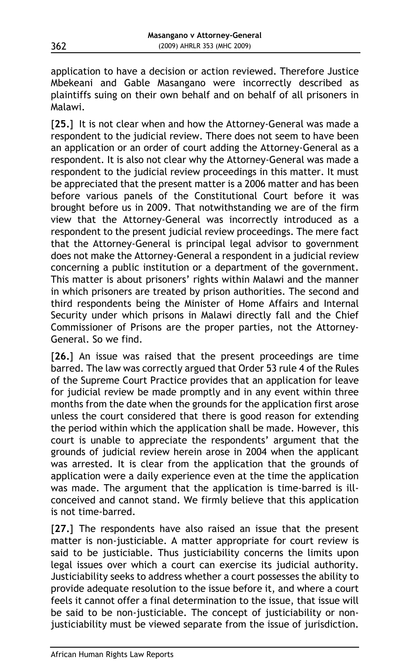application to have a decision or action reviewed. Therefore Justice Mbekeani and Gable Masangano were incorrectly described as plaintiffs suing on their own behalf and on behalf of all prisoners in Malawi.

[25.] It is not clear when and how the Attorney-General was made a respondent to the judicial review. There does not seem to have been an application or an order of court adding the Attorney-General as a respondent. It is also not clear why the Attorney-General was made a respondent to the judicial review proceedings in this matter. It must be appreciated that the present matter is a 2006 matter and has been before various panels of the Constitutional Court before it was brought before us in 2009. That notwithstanding we are of the firm view that the Attorney-General was incorrectly introduced as a respondent to the present judicial review proceedings. The mere fact that the Attorney-General is principal legal advisor to government does not make the Attorney-General a respondent in a judicial review concerning a public institution or a department of the government. This matter is about prisoners' rights within Malawi and the manner in which prisoners are treated by prison authorities. The second and third respondents being the Minister of Home Affairs and Internal Security under which prisons in Malawi directly fall and the Chief Commissioner of Prisons are the proper parties, not the Attorney-General. So we find.

[**26.**] An issue was raised that the present proceedings are time barred. The law was correctly argued that Order 53 rule 4 of the Rules of the Supreme Court Practice provides that an application for leave for judicial review be made promptly and in any event within three months from the date when the grounds for the application first arose unless the court considered that there is good reason for extending the period within which the application shall be made. However, this court is unable to appreciate the respondents' argument that the grounds of judicial review herein arose in 2004 when the applicant was arrested. It is clear from the application that the grounds of application were a daily experience even at the time the application was made. The argument that the application is time-barred is illconceived and cannot stand. We firmly believe that this application is not time-barred.

[**27.**] The respondents have also raised an issue that the present matter is non-justiciable. A matter appropriate for court review is said to be justiciable. Thus justiciability concerns the limits upon legal issues over which a court can exercise its judicial authority. Justiciability seeks to address whether a court possesses the ability to provide adequate resolution to the issue before it, and where a court feels it cannot offer a final determination to the issue, that issue will be said to be non-justiciable. The concept of justiciability or nonjusticiability must be viewed separate from the issue of jurisdiction.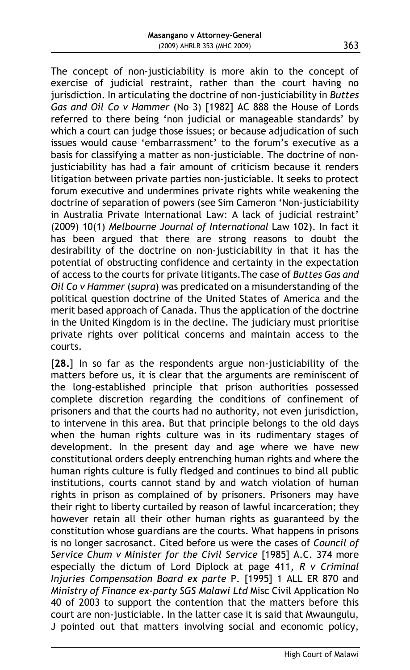The concept of non-justiciability is more akin to the concept of exercise of judicial restraint, rather than the court having no jurisdiction. In articulating the doctrine of non-justiciability in *Buttes Gas and Oil Co v Hammer* (No 3) [1982] AC 888 the House of Lords referred to there being 'non judicial or manageable standards' by which a court can judge those issues; or because adjudication of such issues would cause 'embarrassment' to the forum's executive as a basis for classifying a matter as non-justiciable. The doctrine of nonjusticiability has had a fair amount of criticism because it renders litigation between private parties non-justiciable. It seeks to protect forum executive and undermines private rights while weakening the doctrine of separation of powers (see Sim Cameron 'Non-justiciability in Australia Private International Law: A lack of judicial restraint' (2009) 10(1) *Melbourne Journal of International* Law 102). In fact it has been argued that there are strong reasons to doubt the desirability of the doctrine on non-justiciability in that it has the potential of obstructing confidence and certainty in the expectation of access to the courts for private litigants.The case of *Buttes Gas and Oil Co v Hammer* (*supra*) was predicated on a misunderstanding of the political question doctrine of the United States of America and the merit based approach of Canada. Thus the application of the doctrine in the United Kingdom is in the decline. The judiciary must prioritise private rights over political concerns and maintain access to the courts.

[**28.**] In so far as the respondents argue non-justiciability of the matters before us, it is clear that the arguments are reminiscent of the long-established principle that prison authorities possessed complete discretion regarding the conditions of confinement of prisoners and that the courts had no authority, not even jurisdiction, to intervene in this area. But that principle belongs to the old days when the human rights culture was in its rudimentary stages of development. In the present day and age where we have new constitutional orders deeply entrenching human rights and where the human rights culture is fully fledged and continues to bind all public institutions, courts cannot stand by and watch violation of human rights in prison as complained of by prisoners. Prisoners may have their right to liberty curtailed by reason of lawful incarceration; they however retain all their other human rights as guaranteed by the constitution whose guardians are the courts. What happens in prisons is no longer sacrosanct. Cited before us were the cases of *Council of Service Chum v Minister for the Civil Service* [1985] A.C. 374 more especially the dictum of Lord Diplock at page 411, *R v Criminal Injuries Compensation Board ex parte* P. [1995] 1 ALL ER 870 and *Ministry of Finance ex-party SGS Malawi Ltd* Misc Civil Application No 40 of 2003 to support the contention that the matters before this court are non-justiciable. In the latter case it is said that Mwaungulu, J pointed out that matters involving social and economic policy,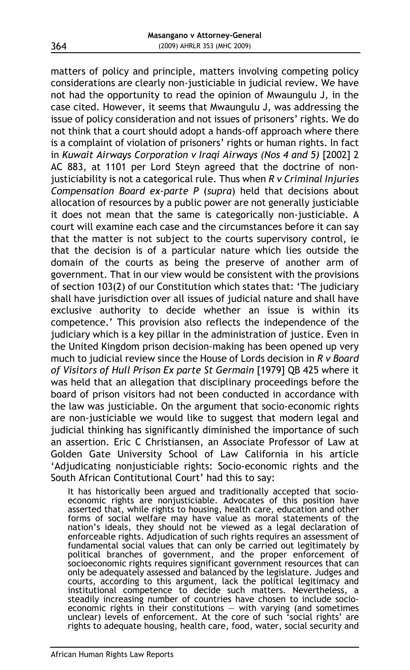matters of policy and principle, matters involving competing policy considerations are clearly non-justiciable in judicial review. We have not had the opportunity to read the opinion of Mwaungulu J, in the case cited. However, it seems that Mwaungulu J, was addressing the issue of policy consideration and not issues of prisoners' rights. We do not think that a court should adopt a hands-off approach where there is a complaint of violation of prisoners' rights or human rights. In fact in *Kuwait Airways Corporation v Iraqi Airways (Nos 4 and 5)* [2002] 2 AC 883, at 1101 per Lord Steyn agreed that the doctrine of nonjusticiability is not a categorical rule. Thus when *R v Criminal Injuries Compensation Board ex-parte P* (*supra*) held that decisions about allocation of resources by a public power are not generally justiciable it does not mean that the same is categorically non-justiciable. A court will examine each case and the circumstances before it can say that the matter is not subject to the courts supervisory control, ie that the decision is of a particular nature which lies outside the domain of the courts as being the preserve of another arm of government. That in our view would be consistent with the provisions of section 103(2) of our Constitution which states that: 'The judiciary shall have jurisdiction over all issues of judicial nature and shall have exclusive authority to decide whether an issue is within its competence.' This provision also reflects the independence of the judiciary which is a key pillar in the administration of justice. Even in the United Kingdom prison decision-making has been opened up very much to judicial review since the House of Lords decision in *R v Board of Visitors of Hull Prison Ex parte St Germain* [1979] QB 425 where it was held that an allegation that disciplinary proceedings before the board of prison visitors had not been conducted in accordance with the law was justiciable. On the argument that socio-economic rights are non-justiciable we would like to suggest that modern legal and judicial thinking has significantly diminished the importance of such an assertion. Eric C Christiansen, an Associate Professor of Law at Golden Gate University School of Law California in his article 'Adjudicating nonjusticiable rights: Socio-economic rights and the South African Contitutional Court' had this to say:

It has historically been argued and traditionally accepted that socioeconomic rights are nonjusticiable. Advocates of this position have asserted that, while rights to housing, health care, education and other forms of social welfare may have value as moral statements of the nation's ideals, they should not be viewed as a legal declaration of enforceable rights. Adjudication of such rights requires an assessment of fundamental social values that can only be carried out legitimately by political branches of government, and the proper enforcement of socioeconomic rights requires significant government resources that can only be adequately assessed and balanced by the legislature. Judges and courts, according to this argument, lack the political legitimacy and institutional competence to decide such matters. Nevertheless, a steadily increasing number of countries have chosen to include socioeconomic rights in their constitutions — with varying (and sometimes unclear) levels of enforcement. At the core of such 'social rights' are rights to adequate housing, health care, food, water, social security and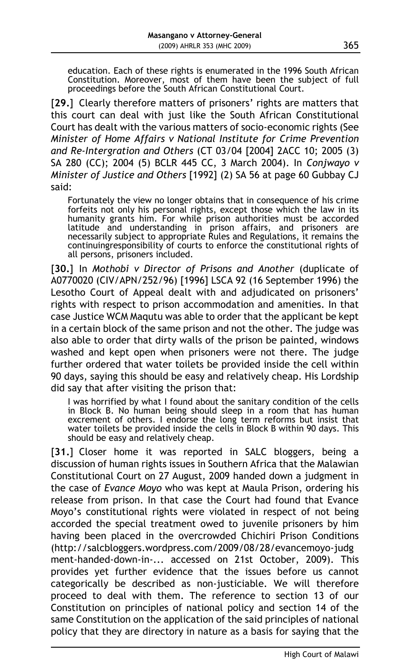education. Each of these rights is enumerated in the 1996 South African Constitution. Moreover, most of them have been the subject of full proceedings before the South African Constitutional Court.

[**29.**] Clearly therefore matters of prisoners' rights are matters that this court can deal with just like the South African Constitutional Court has dealt with the various matters of socio-economic rights (See *Minister of Home Affairs v National Institute for Crime Prevention and Re-Intergration and Others* (CT 03/04 [2004] 2ACC 10; 2005 (3) SA 280 (CC); 2004 (5) BCLR 445 CC, 3 March 2004). In *Conjwayo v Minister of Justice and Others* [1992] (2) SA 56 at page 60 Gubbay CJ said:

Fortunately the view no longer obtains that in consequence of his crime forfeits not only his personal rights, except those which the law in its humanity grants him. For while prison authorities must be accorded latitude and understanding in prison affairs, and prisoners are necessarily subject to appropriate Rules and Regulations, it remains the continuingresponsibility of courts to enforce the constitutional rights of all persons, prisoners included.

[**30.**] In *Mothobi v Director of Prisons and Another* (duplicate of A0770020 (CIV/APN/252/96) [1996] LSCA 92 (16 September 1996) the Lesotho Court of Appeal dealt with and adjudicated on prisoners' rights with respect to prison accommodation and amenities. In that case Justice WCM Maqutu was able to order that the applicant be kept in a certain block of the same prison and not the other. The judge was also able to order that dirty walls of the prison be painted, windows washed and kept open when prisoners were not there. The judge further ordered that water toilets be provided inside the cell within 90 days, saying this should be easy and relatively cheap. His Lordship did say that after visiting the prison that:

I was horrified by what I found about the sanitary condition of the cells in Block B. No human being should sleep in a room that has human excrement of others. I endorse the long term reforms but insist that water toilets be provided inside the cells in Block B within 90 days. This should be easy and relatively cheap.

[31.] Closer home it was reported in SALC bloggers, being a discussion of human rights issues in Southern Africa that the Malawian Constitutional Court on 27 August, 2009 handed down a judgment in the case of *Evance Moyo* who was kept at Maula Prison, ordering his release from prison. In that case the Court had found that Evance Moyo's constitutional rights were violated in respect of not being accorded the special treatment owed to juvenile prisoners by him having been placed in the overcrowded Chichiri Prison Conditions (http://salcbloggers.wordpress.com/2009/08/28/evancemoyo-judg ment-handed-down-in-... accessed on 21st October, 2009). This provides yet further evidence that the issues before us cannot categorically be described as non-justiciable. We will therefore proceed to deal with them. The reference to section 13 of our Constitution on principles of national policy and section 14 of the same Constitution on the application of the said principles of national policy that they are directory in nature as a basis for saying that the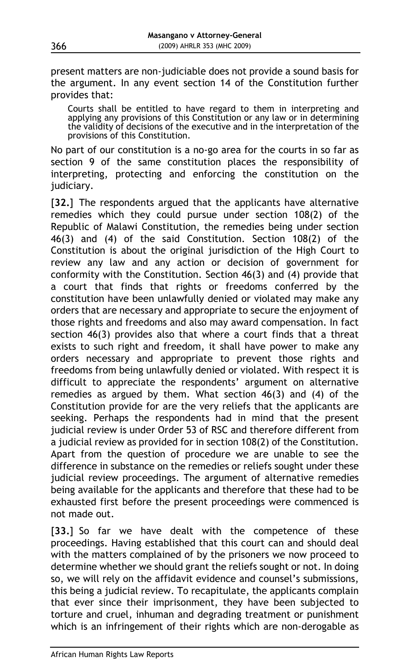present matters are non-judiciable does not provide a sound basis for the argument. In any event section 14 of the Constitution further provides that:

Courts shall be entitled to have regard to them in interpreting and applying any provisions of this Constitution or any law or in determining the validity of decisions of the executive and in the interpretation of the provisions of this Constitution.

No part of our constitution is a no-go area for the courts in so far as section 9 of the same constitution places the responsibility of interpreting, protecting and enforcing the constitution on the judiciary.

[**32.**] The respondents argued that the applicants have alternative remedies which they could pursue under section 108(2) of the Republic of Malawi Constitution, the remedies being under section 46(3) and (4) of the said Constitution. Section 108(2) of the Constitution is about the original jurisdiction of the High Court to review any law and any action or decision of government for conformity with the Constitution. Section 46(3) and (4) provide that a court that finds that rights or freedoms conferred by the constitution have been unlawfully denied or violated may make any orders that are necessary and appropriate to secure the enjoyment of those rights and freedoms and also may award compensation. In fact section 46(3) provides also that where a court finds that a threat exists to such right and freedom, it shall have power to make any orders necessary and appropriate to prevent those rights and freedoms from being unlawfully denied or violated. With respect it is difficult to appreciate the respondents' argument on alternative remedies as argued by them. What section 46(3) and (4) of the Constitution provide for are the very reliefs that the applicants are seeking. Perhaps the respondents had in mind that the present judicial review is under Order 53 of RSC and therefore different from a judicial review as provided for in section 108(2) of the Constitution. Apart from the question of procedure we are unable to see the difference in substance on the remedies or reliefs sought under these judicial review proceedings. The argument of alternative remedies being available for the applicants and therefore that these had to be exhausted first before the present proceedings were commenced is not made out.

[**33.**] So far we have dealt with the competence of these proceedings. Having established that this court can and should deal with the matters complained of by the prisoners we now proceed to determine whether we should grant the reliefs sought or not. In doing so, we will rely on the affidavit evidence and counsel's submissions, this being a judicial review. To recapitulate, the applicants complain that ever since their imprisonment, they have been subjected to torture and cruel, inhuman and degrading treatment or punishment which is an infringement of their rights which are non-derogable as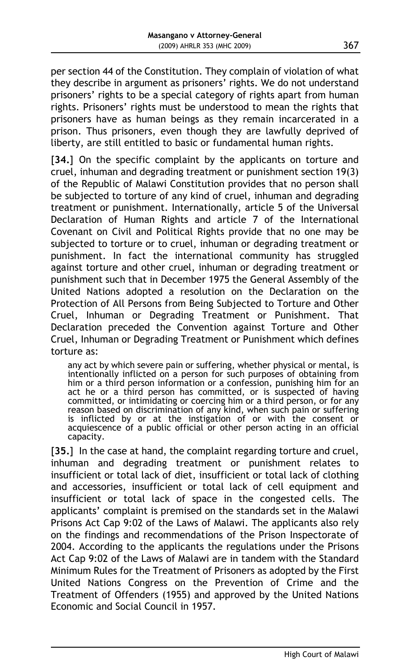per section 44 of the Constitution. They complain of violation of what they describe in argument as prisoners' rights. We do not understand prisoners' rights to be a special category of rights apart from human rights. Prisoners' rights must be understood to mean the rights that prisoners have as human beings as they remain incarcerated in a prison. Thus prisoners, even though they are lawfully deprived of liberty, are still entitled to basic or fundamental human rights.

[34.] On the specific complaint by the applicants on torture and cruel, inhuman and degrading treatment or punishment section 19(3) of the Republic of Malawi Constitution provides that no person shall be subjected to torture of any kind of cruel, inhuman and degrading treatment or punishment. Internationally, article 5 of the Universal Declaration of Human Rights and article 7 of the International Covenant on Civil and Political Rights provide that no one may be subjected to torture or to cruel, inhuman or degrading treatment or punishment. In fact the international community has struggled against torture and other cruel, inhuman or degrading treatment or punishment such that in December 1975 the General Assembly of the United Nations adopted a resolution on the Declaration on the Protection of All Persons from Being Subjected to Torture and Other Cruel, Inhuman or Degrading Treatment or Punishment. That Declaration preceded the Convention against Torture and Other Cruel, Inhuman or Degrading Treatment or Punishment which defines torture as:

any act by which severe pain or suffering, whether physical or mental, is intentionally inflicted on a person for such purposes of obtaining from him or a third person information or a confession, punishing him for an act he or a third person has committed, or is suspected of having committed, or intimidating or coercing him or a third person, or for any reason based on discrimination of any kind, when such pain or suffering is inflicted by or at the instigation of or with the consent or acquiescence of a public official or other person acting in an official capacity.

[**35.**] In the case at hand, the complaint regarding torture and cruel, inhuman and degrading treatment or punishment relates to insufficient or total lack of diet, insufficient or total lack of clothing and accessories, insufficient or total lack of cell equipment and insufficient or total lack of space in the congested cells. The applicants' complaint is premised on the standards set in the Malawi Prisons Act Cap 9:02 of the Laws of Malawi. The applicants also rely on the findings and recommendations of the Prison Inspectorate of 2004. According to the applicants the regulations under the Prisons Act Cap 9:02 of the Laws of Malawi are in tandem with the Standard Minimum Rules for the Treatment of Prisoners as adopted by the First United Nations Congress on the Prevention of Crime and the Treatment of Offenders (1955) and approved by the United Nations Economic and Social Council in 1957.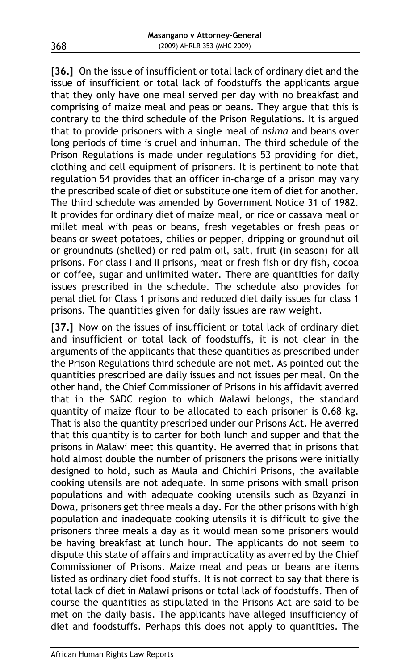[**36.**] On the issue of insufficient or total lack of ordinary diet and the issue of insufficient or total lack of foodstuffs the applicants argue that they only have one meal served per day with no breakfast and comprising of maize meal and peas or beans. They argue that this is contrary to the third schedule of the Prison Regulations. It is argued that to provide prisoners with a single meal of *nsima* and beans over long periods of time is cruel and inhuman. The third schedule of the Prison Regulations is made under regulations 53 providing for diet, clothing and cell equipment of prisoners. It is pertinent to note that regulation 54 provides that an officer in-charge of a prison may vary the prescribed scale of diet or substitute one item of diet for another. The third schedule was amended by Government Notice 31 of 1982. It provides for ordinary diet of maize meal, or rice or cassava meal or millet meal with peas or beans, fresh vegetables or fresh peas or beans or sweet potatoes, chilies or pepper, dripping or groundnut oil or groundnuts (shelled) or red palm oil, salt, fruit (in season) for all prisons. For class I and II prisons, meat or fresh fish or dry fish, cocoa or coffee, sugar and unlimited water. There are quantities for daily issues prescribed in the schedule. The schedule also provides for penal diet for Class 1 prisons and reduced diet daily issues for class 1 prisons. The quantities given for daily issues are raw weight.

[37.] Now on the issues of insufficient or total lack of ordinary diet and insufficient or total lack of foodstuffs, it is not clear in the arguments of the applicants that these quantities as prescribed under the Prison Regulations third schedule are not met. As pointed out the quantities prescribed are daily issues and not issues per meal. On the other hand, the Chief Commissioner of Prisons in his affidavit averred that in the SADC region to which Malawi belongs, the standard quantity of maize flour to be allocated to each prisoner is 0.68 kg. That is also the quantity prescribed under our Prisons Act. He averred that this quantity is to carter for both lunch and supper and that the prisons in Malawi meet this quantity. He averred that in prisons that hold almost double the number of prisoners the prisons were initially designed to hold, such as Maula and Chichiri Prisons, the available cooking utensils are not adequate. In some prisons with small prison populations and with adequate cooking utensils such as Bzyanzi in Dowa, prisoners get three meals a day. For the other prisons with high population and inadequate cooking utensils it is difficult to give the prisoners three meals a day as it would mean some prisoners would be having breakfast at lunch hour. The applicants do not seem to dispute this state of affairs and impracticality as averred by the Chief Commissioner of Prisons. Maize meal and peas or beans are items listed as ordinary diet food stuffs. It is not correct to say that there is total lack of diet in Malawi prisons or total lack of foodstuffs. Then of course the quantities as stipulated in the Prisons Act are said to be met on the daily basis. The applicants have alleged insufficiency of diet and foodstuffs. Perhaps this does not apply to quantities. The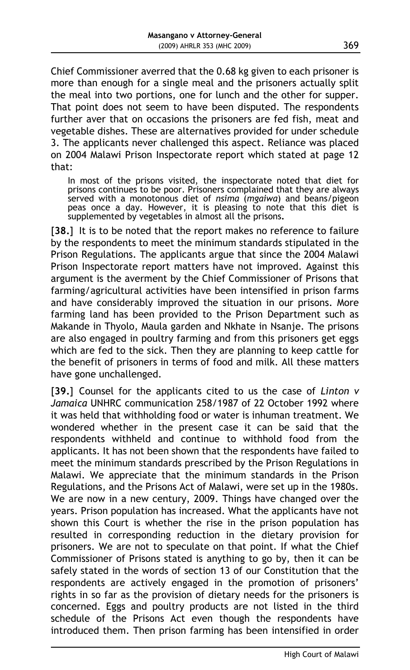Chief Commissioner averred that the 0.68 kg given to each prisoner is more than enough for a single meal and the prisoners actually split the meal into two portions, one for lunch and the other for supper. That point does not seem to have been disputed. The respondents further aver that on occasions the prisoners are fed fish, meat and vegetable dishes. These are alternatives provided for under schedule 3. The applicants never challenged this aspect. Reliance was placed on 2004 Malawi Prison Inspectorate report which stated at page 12 that:

In most of the prisons visited, the inspectorate noted that diet for prisons continues to be poor. Prisoners complained that they are always served with a monotonous diet of *nsima* (*mgaiwa*) and beans/pigeon peas once a day. However, it is pleasing to note that this diet is supplemented by vegetables in almost all the prisons**.**

[**38.**] It is to be noted that the report makes no reference to failure by the respondents to meet the minimum standards stipulated in the Prison Regulations. The applicants argue that since the 2004 Malawi Prison Inspectorate report matters have not improved. Against this argument is the averment by the Chief Commissioner of Prisons that farming/agricultural activities have been intensified in prison farms and have considerably improved the situation in our prisons. More farming land has been provided to the Prison Department such as Makande in Thyolo, Maula garden and Nkhate in Nsanje. The prisons are also engaged in poultry farming and from this prisoners get eggs which are fed to the sick. Then they are planning to keep cattle for the benefit of prisoners in terms of food and milk. All these matters have gone unchallenged.

[**39.**] Counsel for the applicants cited to us the case of *Linton v Jamaica* UNHRC communication 258/1987 of 22 October 1992 where it was held that withholding food or water is inhuman treatment. We wondered whether in the present case it can be said that the respondents withheld and continue to withhold food from the applicants. It has not been shown that the respondents have failed to meet the minimum standards prescribed by the Prison Regulations in Malawi. We appreciate that the minimum standards in the Prison Regulations, and the Prisons Act of Malawi, were set up in the 1980s. We are now in a new century, 2009. Things have changed over the years. Prison population has increased. What the applicants have not shown this Court is whether the rise in the prison population has resulted in corresponding reduction in the dietary provision for prisoners. We are not to speculate on that point. If what the Chief Commissioner of Prisons stated is anything to go by, then it can be safely stated in the words of section 13 of our Constitution that the respondents are actively engaged in the promotion of prisoners' rights in so far as the provision of dietary needs for the prisoners is concerned. Eggs and poultry products are not listed in the third schedule of the Prisons Act even though the respondents have introduced them. Then prison farming has been intensified in order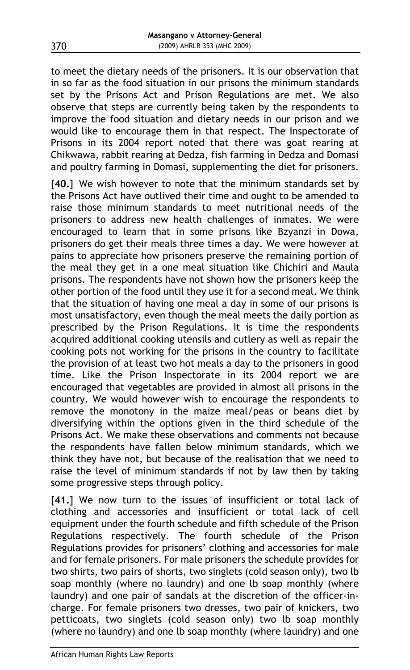to meet the dietary needs of the prisoners. It is our observation that in so far as the food situation in our prisons the minimum standards set by the Prisons Act and Prison Regulations are met. We also observe that steps are currently being taken by the respondents to improve the food situation and dietary needs in our prison and we would like to encourage them in that respect. The Inspectorate of Prisons in its 2004 report noted that there was goat rearing at Chikwawa, rabbit rearing at Dedza, fish farming in Dedza and Domasi and poultry farming in Domasi, supplementing the diet for prisoners.

[**40.**] We wish however to note that the minimum standards set by the Prisons Act have outlived their time and ought to be amended to raise those minimum standards to meet nutritional needs of the prisoners to address new health challenges of inmates. We were encouraged to learn that in some prisons like Bzyanzi in Dowa, prisoners do get their meals three times a day. We were however at pains to appreciate how prisoners preserve the remaining portion of the meal they get in a one meal situation like Chichiri and Maula prisons. The respondents have not shown how the prisoners keep the other portion of the food until they use it for a second meal. We think that the situation of having one meal a day in some of our prisons is most unsatisfactory, even though the meal meets the daily portion as prescribed by the Prison Regulations. It is time the respondents acquired additional cooking utensils and cutlery as well as repair the cooking pots not working for the prisons in the country to facilitate the provision of at least two hot meals a day to the prisoners in good time. Like the Prison Inspectorate in its 2004 report we are encouraged that vegetables are provided in almost all prisons in the country. We would however wish to encourage the respondents to remove the monotony in the maize meal/peas or beans diet by diversifying within the options given in the third schedule of the Prisons Act. We make these observations and comments not because the respondents have fallen below minimum standards, which we think they have not, but because of the realisation that we need to raise the level of minimum standards if not by law then by taking some progressive steps through policy.

[41.] We now turn to the issues of insufficient or total lack of clothing and accessories and insufficient or total lack of cell equipment under the fourth schedule and fifth schedule of the Prison Regulations respectively. The fourth schedule of the Prison Regulations provides for prisoners' clothing and accessories for male and for female prisoners. For male prisoners the schedule provides for two shirts, two pairs of shorts, two singlets (cold season only), two lb soap monthly (where no laundry) and one lb soap monthly (where laundry) and one pair of sandals at the discretion of the officer-incharge. For female prisoners two dresses, two pair of knickers, two petticoats, two singlets (cold season only) two lb soap monthly (where no laundry) and one lb soap monthly (where laundry) and one

370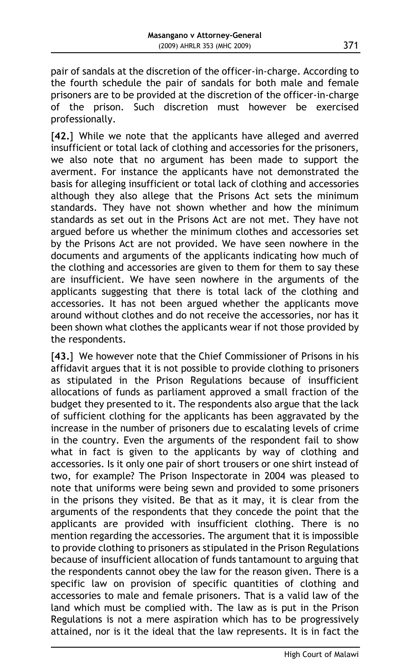pair of sandals at the discretion of the officer-in-charge. According to the fourth schedule the pair of sandals for both male and female prisoners are to be provided at the discretion of the officer-in-charge of the prison. Such discretion must however be exercised professionally.

[**42.**] While we note that the applicants have alleged and averred insufficient or total lack of clothing and accessories for the prisoners, we also note that no argument has been made to support the averment. For instance the applicants have not demonstrated the basis for alleging insufficient or total lack of clothing and accessories although they also allege that the Prisons Act sets the minimum standards. They have not shown whether and how the minimum standards as set out in the Prisons Act are not met. They have not argued before us whether the minimum clothes and accessories set by the Prisons Act are not provided. We have seen nowhere in the documents and arguments of the applicants indicating how much of the clothing and accessories are given to them for them to say these are insufficient. We have seen nowhere in the arguments of the applicants suggesting that there is total lack of the clothing and accessories. It has not been argued whether the applicants move around without clothes and do not receive the accessories, nor has it been shown what clothes the applicants wear if not those provided by the respondents.

[43.] We however note that the Chief Commissioner of Prisons in his affidavit argues that it is not possible to provide clothing to prisoners as stipulated in the Prison Regulations because of insufficient allocations of funds as parliament approved a small fraction of the budget they presented to it. The respondents also argue that the lack of sufficient clothing for the applicants has been aggravated by the increase in the number of prisoners due to escalating levels of crime in the country. Even the arguments of the respondent fail to show what in fact is given to the applicants by way of clothing and accessories. Is it only one pair of short trousers or one shirt instead of two, for example? The Prison Inspectorate in 2004 was pleased to note that uniforms were being sewn and provided to some prisoners in the prisons they visited. Be that as it may, it is clear from the arguments of the respondents that they concede the point that the applicants are provided with insufficient clothing. There is no mention regarding the accessories. The argument that it is impossible to provide clothing to prisoners as stipulated in the Prison Regulations because of insufficient allocation of funds tantamount to arguing that the respondents cannot obey the law for the reason given. There is a specific law on provision of specific quantities of clothing and accessories to male and female prisoners. That is a valid law of the land which must be complied with. The law as is put in the Prison Regulations is not a mere aspiration which has to be progressively attained, nor is it the ideal that the law represents. It is in fact the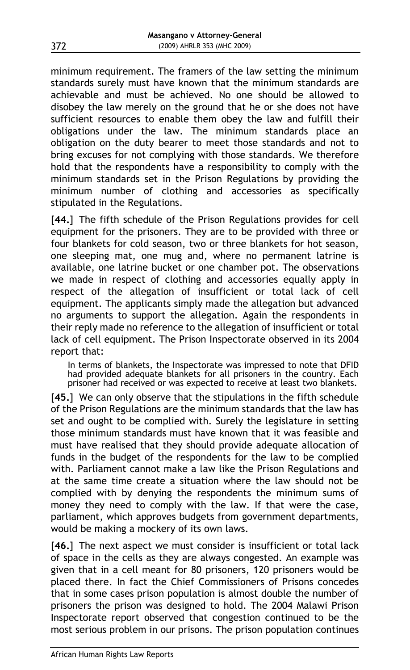minimum requirement. The framers of the law setting the minimum standards surely must have known that the minimum standards are achievable and must be achieved. No one should be allowed to disobey the law merely on the ground that he or she does not have sufficient resources to enable them obey the law and fulfill their obligations under the law. The minimum standards place an obligation on the duty bearer to meet those standards and not to bring excuses for not complying with those standards. We therefore hold that the respondents have a responsibility to comply with the minimum standards set in the Prison Regulations by providing the minimum number of clothing and accessories as specifically stipulated in the Regulations.

[44.] The fifth schedule of the Prison Regulations provides for cell equipment for the prisoners. They are to be provided with three or four blankets for cold season, two or three blankets for hot season, one sleeping mat, one mug and, where no permanent latrine is available, one latrine bucket or one chamber pot. The observations we made in respect of clothing and accessories equally apply in respect of the allegation of insufficient or total lack of cell equipment. The applicants simply made the allegation but advanced no arguments to support the allegation. Again the respondents in their reply made no reference to the allegation of insufficient or total lack of cell equipment. The Prison Inspectorate observed in its 2004 report that:

In terms of blankets, the Inspectorate was impressed to note that DFID had provided adequate blankets for all prisoners in the country. Each prisoner had received or was expected to receive at least two blankets.

[**45.**] We can only observe that the stipulations in the fifth schedule of the Prison Regulations are the minimum standards that the law has set and ought to be complied with. Surely the legislature in setting those minimum standards must have known that it was feasible and must have realised that they should provide adequate allocation of funds in the budget of the respondents for the law to be complied with. Parliament cannot make a law like the Prison Regulations and at the same time create a situation where the law should not be complied with by denying the respondents the minimum sums of money they need to comply with the law. If that were the case, parliament, which approves budgets from government departments, would be making a mockery of its own laws.

[**46.**] The next aspect we must consider is insufficient or total lack of space in the cells as they are always congested. An example was given that in a cell meant for 80 prisoners, 120 prisoners would be placed there. In fact the Chief Commissioners of Prisons concedes that in some cases prison population is almost double the number of prisoners the prison was designed to hold. The 2004 Malawi Prison Inspectorate report observed that congestion continued to be the most serious problem in our prisons. The prison population continues

372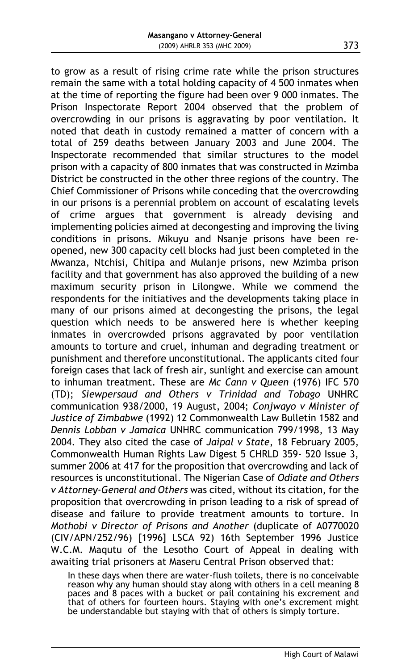to grow as a result of rising crime rate while the prison structures remain the same with a total holding capacity of 4 500 inmates when at the time of reporting the figure had been over 9 000 inmates. The Prison Inspectorate Report 2004 observed that the problem of overcrowding in our prisons is aggravating by poor ventilation. It noted that death in custody remained a matter of concern with a total of 259 deaths between January 2003 and June 2004. The Inspectorate recommended that similar structures to the model prison with a capacity of 800 inmates that was constructed in Mzimba District be constructed in the other three regions of the country. The Chief Commissioner of Prisons while conceding that the overcrowding in our prisons is a perennial problem on account of escalating levels of crime argues that government is already devising and implementing policies aimed at decongesting and improving the living conditions in prisons. Mikuyu and Nsanje prisons have been reopened, new 300 capacity cell blocks had just been completed in the Mwanza, Ntchisi, Chitipa and Mulanje prisons, new Mzimba prison facility and that government has also approved the building of a new maximum security prison in Lilongwe. While we commend the respondents for the initiatives and the developments taking place in many of our prisons aimed at decongesting the prisons, the legal question which needs to be answered here is whether keeping inmates in overcrowded prisons aggravated by poor ventilation amounts to torture and cruel, inhuman and degrading treatment or punishment and therefore unconstitutional. The applicants cited four foreign cases that lack of fresh air, sunlight and exercise can amount to inhuman treatment. These are *Mc Cann v Queen* (1976) IFC 570 (TD); *Siewpersaud and Others v Trinidad and Tobago* UNHRC communication 938/2000, 19 August, 2004; *Conjwayo v Minister of Justice of Zimbabwe* (1992) 12 Commonwealth Law Bulletin 1582 and *Dennis Lobban v Jamaica* UNHRC communication 799/1998, 13 May 2004. They also cited the case of *Jaipal v State*, 18 February 2005, Commonwealth Human Rights Law Digest 5 CHRLD 359- 520 Issue 3, summer 2006 at 417 for the proposition that overcrowding and lack of resources is unconstitutional. The Nigerian Case of *Odiate and Others v Attorney-General and Others* was cited, without its citation, for the proposition that overcrowding in prison leading to a risk of spread of disease and failure to provide treatment amounts to torture. In *Mothobi v Director of Prisons and Another* (duplicate of A0770020 (CIV/APN/252/96) [1996] LSCA 92) 16th September 1996 Justice W.C.M. Maqutu of the Lesotho Court of Appeal in dealing with awaiting trial prisoners at Maseru Central Prison observed that:

In these days when there are water-flush toilets, there is no conceivable reason why any human should stay along with others in a cell meaning 8 paces and 8 paces with a bucket or pail containing his excrement and that of others for fourteen hours. Staying with one's excrement might be understandable but staying with that of others is simply torture.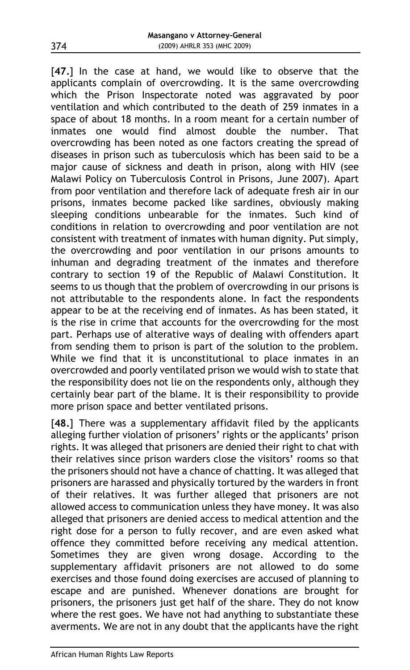[**47.**] In the case at hand, we would like to observe that the applicants complain of overcrowding. It is the same overcrowding which the Prison Inspectorate noted was aggravated by poor ventilation and which contributed to the death of 259 inmates in a space of about 18 months. In a room meant for a certain number of inmates one would find almost double the number. That overcrowding has been noted as one factors creating the spread of diseases in prison such as tuberculosis which has been said to be a major cause of sickness and death in prison, along with HIV (see Malawi Policy on Tuberculosis Control in Prisons, June 2007). Apart from poor ventilation and therefore lack of adequate fresh air in our prisons, inmates become packed like sardines, obviously making sleeping conditions unbearable for the inmates. Such kind of conditions in relation to overcrowding and poor ventilation are not consistent with treatment of inmates with human dignity. Put simply, the overcrowding and poor ventilation in our prisons amounts to inhuman and degrading treatment of the inmates and therefore contrary to section 19 of the Republic of Malawi Constitution. It seems to us though that the problem of overcrowding in our prisons is not attributable to the respondents alone. In fact the respondents appear to be at the receiving end of inmates. As has been stated, it is the rise in crime that accounts for the overcrowding for the most part. Perhaps use of alterative ways of dealing with offenders apart from sending them to prison is part of the solution to the problem. While we find that it is unconstitutional to place inmates in an overcrowded and poorly ventilated prison we would wish to state that the responsibility does not lie on the respondents only, although they certainly bear part of the blame. It is their responsibility to provide more prison space and better ventilated prisons.

[**48.**] There was a supplementary affidavit filed by the applicants alleging further violation of prisoners' rights or the applicants' prison rights. It was alleged that prisoners are denied their right to chat with their relatives since prison warders close the visitors' rooms so that the prisoners should not have a chance of chatting. It was alleged that prisoners are harassed and physically tortured by the warders in front of their relatives. It was further alleged that prisoners are not allowed access to communication unless they have money. It was also alleged that prisoners are denied access to medical attention and the right dose for a person to fully recover, and are even asked what offence they committed before receiving any medical attention. Sometimes they are given wrong dosage. According to the supplementary affidavit prisoners are not allowed to do some exercises and those found doing exercises are accused of planning to escape and are punished. Whenever donations are brought for prisoners, the prisoners just get half of the share. They do not know where the rest goes. We have not had anything to substantiate these averments. We are not in any doubt that the applicants have the right

374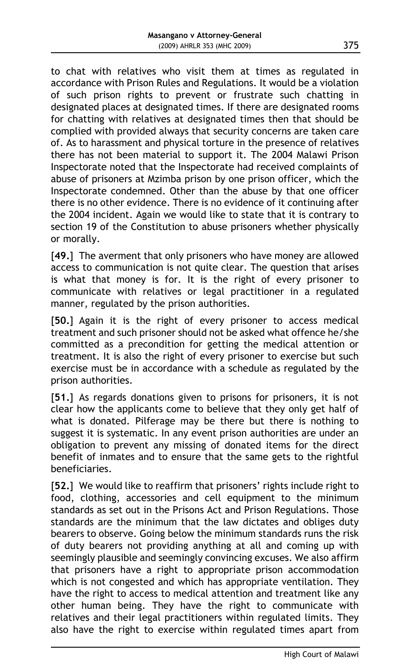to chat with relatives who visit them at times as regulated in accordance with Prison Rules and Regulations. It would be a violation of such prison rights to prevent or frustrate such chatting in designated places at designated times. If there are designated rooms for chatting with relatives at designated times then that should be complied with provided always that security concerns are taken care of. As to harassment and physical torture in the presence of relatives there has not been material to support it. The 2004 Malawi Prison Inspectorate noted that the Inspectorate had received complaints of abuse of prisoners at Mzimba prison by one prison officer, which the Inspectorate condemned. Other than the abuse by that one officer there is no other evidence. There is no evidence of it continuing after the 2004 incident. Again we would like to state that it is contrary to section 19 of the Constitution to abuse prisoners whether physically or morally.

[**49.**] The averment that only prisoners who have money are allowed access to communication is not quite clear. The question that arises is what that money is for. It is the right of every prisoner to communicate with relatives or legal practitioner in a regulated manner, regulated by the prison authorities.

[**50.**] Again it is the right of every prisoner to access medical treatment and such prisoner should not be asked what offence he/she committed as a precondition for getting the medical attention or treatment. It is also the right of every prisoner to exercise but such exercise must be in accordance with a schedule as regulated by the prison authorities.

[**51.**] As regards donations given to prisons for prisoners, it is not clear how the applicants come to believe that they only get half of what is donated. Pilferage may be there but there is nothing to suggest it is systematic. In any event prison authorities are under an obligation to prevent any missing of donated items for the direct benefit of inmates and to ensure that the same gets to the rightful beneficiaries.

[**52.**] We would like to reaffirm that prisoners' rights include right to food, clothing, accessories and cell equipment to the minimum standards as set out in the Prisons Act and Prison Regulations. Those standards are the minimum that the law dictates and obliges duty bearers to observe. Going below the minimum standards runs the risk of duty bearers not providing anything at all and coming up with seemingly plausible and seemingly convincing excuses. We also affirm that prisoners have a right to appropriate prison accommodation which is not congested and which has appropriate ventilation. They have the right to access to medical attention and treatment like any other human being. They have the right to communicate with relatives and their legal practitioners within regulated limits. They also have the right to exercise within regulated times apart from